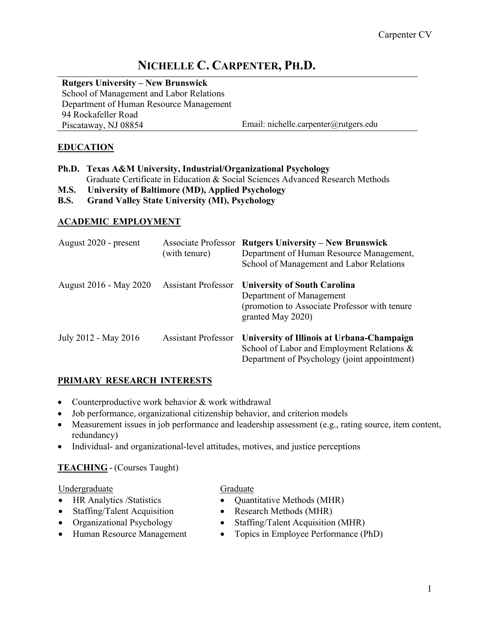# **NICHELLE C. CARPENTER, PH.D.**

## **Rutgers University – New Brunswick**

School of Management and Labor Relations Department of Human Resource Management 94 Rockafeller Road Piscataway, NJ 08854 Email: nichelle.carpenter@rutgers.edu

# **EDUCATION**

|       | Ph.D. Texas A&M University, Industrial/Organizational Psychology              |  |  |
|-------|-------------------------------------------------------------------------------|--|--|
|       | Graduate Certificate in Education & Social Sciences Advanced Research Methods |  |  |
| - - - |                                                                               |  |  |

- **M.S. University of Baltimore (MD), Applied Psychology**
- **B.S. Grand Valley State University (MI), Psychology**

# **ACADEMIC EMPLOYMENT**

| August 2020 - present  | (with tenure)              | <b>Associate Professor Rutgers University – New Brunswick</b><br>Department of Human Resource Management,<br>School of Management and Labor Relations |
|------------------------|----------------------------|-------------------------------------------------------------------------------------------------------------------------------------------------------|
| August 2016 - May 2020 | <b>Assistant Professor</b> | <b>University of South Carolina</b><br>Department of Management<br>(promotion to Associate Professor with tenure<br>granted May 2020)                 |
| July 2012 - May 2016   | <b>Assistant Professor</b> | University of Illinois at Urbana-Champaign<br>School of Labor and Employment Relations &<br>Department of Psychology (joint appointment)              |

# **PRIMARY RESEARCH INTERESTS**

- Counterproductive work behavior & work withdrawal
- Job performance, organizational citizenship behavior, and criterion models
- Measurement issues in job performance and leadership assessment (e.g., rating source, item content, redundancy)
- Individual- and organizational-level attitudes, motives, and justice perceptions

# **TEACHING** - (Courses Taught)

**Undergraduate** 

- HR Analytics / Statistics
- Staffing/Talent Acquisition
- Organizational Psychology
- Human Resource Management

## **Graduate**

- Quantitative Methods (MHR)
- Research Methods (MHR)
- Staffing/Talent Acquisition (MHR)
- Topics in Employee Performance (PhD)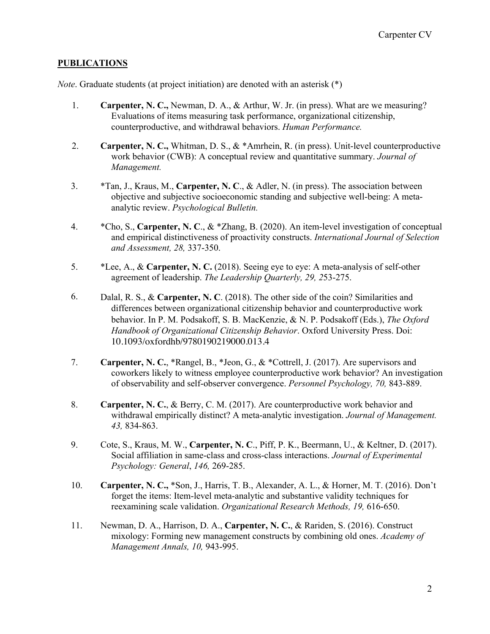## **PUBLICATIONS**

*Note*. Graduate students (at project initiation) are denoted with an asterisk (\*)

- 1. **Carpenter, N. C.,** Newman, D. A., & Arthur, W. Jr. (in press). What are we measuring? Evaluations of items measuring task performance, organizational citizenship, counterproductive, and withdrawal behaviors. *Human Performance.*
- 2. **Carpenter, N. C.,** Whitman, D. S., & \*Amrhein, R. (in press). Unit-level counterproductive work behavior (CWB): A conceptual review and quantitative summary. *Journal of Management.*
- 3. \*Tan, J., Kraus, M., **Carpenter, N. C**., & Adler, N. (in press). The association between objective and subjective socioeconomic standing and subjective well-being: A metaanalytic review. *Psychological Bulletin.*
- 4. \*Cho, S., **Carpenter, N. C**., & \*Zhang, B. (2020). An item-level investigation of conceptual and empirical distinctiveness of proactivity constructs. *International Journal of Selection and Assessment, 28,* 337-350.
- 5. \*Lee, A., & **Carpenter, N. C.** (2018). Seeing eye to eye: A meta-analysis of self-other agreement of leadership. *The Leadership Quarterly, 29, 2*53-275.
- 6. Dalal, R. S., & **Carpenter, N. C**. (2018). The other side of the coin? Similarities and differences between organizational citizenship behavior and counterproductive work behavior. In P. M. Podsakoff, S. B. MacKenzie, & N. P. Podsakoff (Eds.), *The Oxford Handbook of Organizational Citizenship Behavior*. Oxford University Press. Doi: 10.1093/oxfordhb/9780190219000.013.4
- 7. **Carpenter, N. C.**, \*Rangel, B., \*Jeon, G., & \*Cottrell, J. (2017). Are supervisors and coworkers likely to witness employee counterproductive work behavior? An investigation of observability and self-observer convergence. *Personnel Psychology, 70,* 843-889.
- 8. **Carpenter, N. C.**, & Berry, C. M. (2017). Are counterproductive work behavior and withdrawal empirically distinct? A meta-analytic investigation. *Journal of Management. 43,* 834-863.
- 9. Cote, S., Kraus, M. W., **Carpenter, N. C**., Piff, P. K., Beermann, U., & Keltner, D. (2017). Social affiliation in same-class and cross-class interactions. *Journal of Experimental Psychology: General*, *146,* 269-285.
- 10. **Carpenter, N. C.,** \*Son, J., Harris, T. B., Alexander, A. L., & Horner, M. T. (2016). Don't forget the items: Item-level meta-analytic and substantive validity techniques for reexamining scale validation. *Organizational Research Methods, 19,* 616-650.
- 11. Newman, D. A., Harrison, D. A., **Carpenter, N. C.**, & Rariden, S. (2016). Construct mixology: Forming new management constructs by combining old ones. *Academy of Management Annals, 10,* 943-995.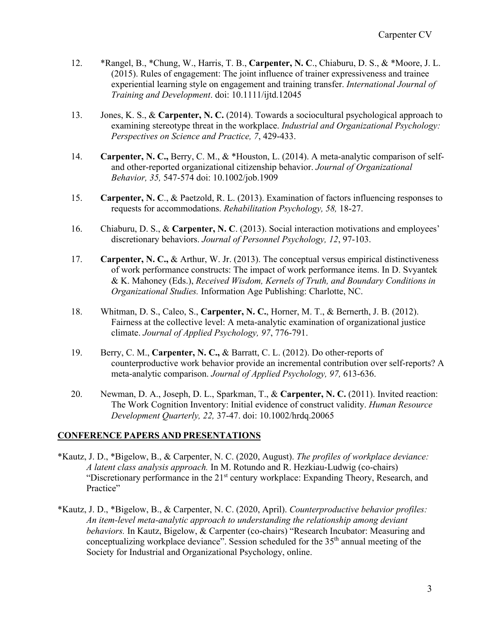- 12. \*Rangel, B., \*Chung, W., Harris, T. B., **Carpenter, N. C**., Chiaburu, D. S., & \*Moore, J. L. (2015). Rules of engagement: The joint influence of trainer expressiveness and trainee experiential learning style on engagement and training transfer. *International Journal of Training and Development*. doi: 10.1111/ijtd.12045
- 13. Jones, K. S., & **Carpenter, N. C.** (2014). Towards a sociocultural psychological approach to examining stereotype threat in the workplace. *Industrial and Organizational Psychology: Perspectives on Science and Practice, 7*, 429-433.
- 14. **Carpenter, N. C.,** Berry, C. M., & \*Houston, L. (2014). A meta-analytic comparison of selfand other-reported organizational citizenship behavior. *Journal of Organizational Behavior, 35,* 547-574 doi: 10.1002/job.1909
- 15. **Carpenter, N. C**., & Paetzold, R. L. (2013). Examination of factors influencing responses to requests for accommodations. *Rehabilitation Psychology, 58,* 18-27.
- 16. Chiaburu, D. S., & **Carpenter, N. C**. (2013). Social interaction motivations and employees' discretionary behaviors. *Journal of Personnel Psychology, 12*, 97-103.
- 17. **Carpenter, N. C.,** & Arthur, W. Jr. (2013). The conceptual versus empirical distinctiveness of work performance constructs: The impact of work performance items. In D. Svyantek & K. Mahoney (Eds.), *Received Wisdom, Kernels of Truth, and Boundary Conditions in Organizational Studies.* Information Age Publishing: Charlotte, NC.
- 18. Whitman, D. S., Caleo, S., **Carpenter, N. C.**, Horner, M. T., & Bernerth, J. B. (2012). Fairness at the collective level: A meta-analytic examination of organizational justice climate. *Journal of Applied Psychology, 97*, 776-791.
- 19. Berry, C. M., **Carpenter, N. C.,** & Barratt, C. L. (2012). Do other-reports of counterproductive work behavior provide an incremental contribution over self-reports? A meta-analytic comparison. *Journal of Applied Psychology, 97,* 613-636.
- 20. Newman, D. A., Joseph, D. L., Sparkman, T., & **Carpenter, N. C.** (2011). Invited reaction: The Work Cognition Inventory: Initial evidence of construct validity. *Human Resource Development Quarterly, 22,* 37-47. doi: 10.1002/hrdq.20065

## **CONFERENCE PAPERS AND PRESENTATIONS**

- \*Kautz, J. D., \*Bigelow, B., & Carpenter, N. C. (2020, August). *The profiles of workplace deviance: A latent class analysis approach.* In M. Rotundo and R. Hezkiau-Ludwig (co-chairs) "Discretionary performance in the 21<sup>st</sup> century workplace: Expanding Theory, Research, and Practice"
- \*Kautz, J. D., \*Bigelow, B., & Carpenter, N. C. (2020, April). *Counterproductive behavior profiles: An item-level meta-analytic approach to understanding the relationship among deviant behaviors.* In Kautz, Bigelow, & Carpenter (co-chairs) "Research Incubator: Measuring and conceptualizing workplace deviance". Session scheduled for the 35<sup>th</sup> annual meeting of the Society for Industrial and Organizational Psychology, online.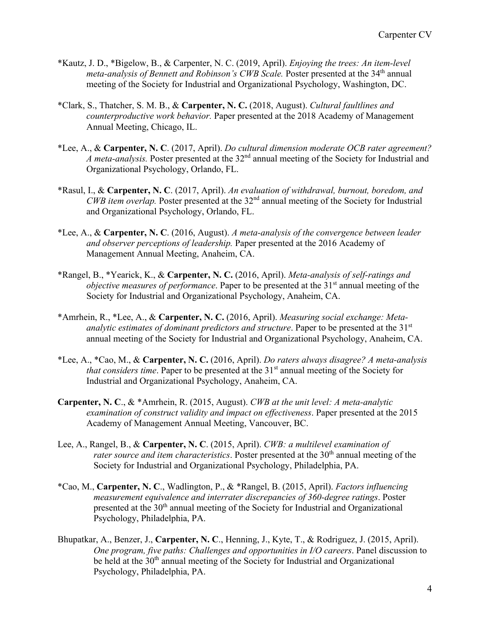- \*Kautz, J. D., \*Bigelow, B., & Carpenter, N. C. (2019, April). *Enjoying the trees: An item-level meta-analysis of Bennett and Robinson's CWB Scale.* Poster presented at the 34<sup>th</sup> annual meeting of the Society for Industrial and Organizational Psychology, Washington, DC.
- \*Clark, S., Thatcher, S. M. B., & **Carpenter, N. C.** (2018, August). *Cultural faultlines and counterproductive work behavior.* Paper presented at the 2018 Academy of Management Annual Meeting, Chicago, IL.
- \*Lee, A., & **Carpenter, N. C**. (2017, April). *Do cultural dimension moderate OCB rater agreement?*  A meta-analysis. Poster presented at the 32<sup>nd</sup> annual meeting of the Society for Industrial and Organizational Psychology, Orlando, FL.
- \*Rasul, I., & **Carpenter, N. C**. (2017, April). *An evaluation of withdrawal, burnout, boredom, and CWB item overlap.* Poster presented at the 32<sup>nd</sup> annual meeting of the Society for Industrial and Organizational Psychology, Orlando, FL.
- \*Lee, A., & **Carpenter, N. C**. (2016, August). *A meta-analysis of the convergence between leader and observer perceptions of leadership.* Paper presented at the 2016 Academy of Management Annual Meeting, Anaheim, CA.
- \*Rangel, B., \*Yearick, K., & **Carpenter, N. C.** (2016, April). *Meta-analysis of self-ratings and objective measures of performance*. Paper to be presented at the 31<sup>st</sup> annual meeting of the Society for Industrial and Organizational Psychology, Anaheim, CA.
- \*Amrhein, R., \*Lee, A., & **Carpenter, N. C.** (2016, April). *Measuring social exchange: Metaanalytic estimates of dominant predictors and structure*. Paper to be presented at the 31<sup>st</sup> annual meeting of the Society for Industrial and Organizational Psychology, Anaheim, CA.
- \*Lee, A., \*Cao, M., & **Carpenter, N. C.** (2016, April). *Do raters always disagree? A meta-analysis that considers time.* Paper to be presented at the 31<sup>st</sup> annual meeting of the Society for Industrial and Organizational Psychology, Anaheim, CA.
- **Carpenter, N. C**., & \*Amrhein, R. (2015, August). *CWB at the unit level: A meta-analytic examination of construct validity and impact on effectiveness*. Paper presented at the 2015 Academy of Management Annual Meeting, Vancouver, BC.
- Lee, A., Rangel, B., & **Carpenter, N. C**. (2015, April). *CWB: a multilevel examination of rater source and item characteristics*. Poster presented at the 30<sup>th</sup> annual meeting of the Society for Industrial and Organizational Psychology, Philadelphia, PA.
- \*Cao, M., **Carpenter, N. C**., Wadlington, P., & \*Rangel, B. (2015, April). *Factors influencing measurement equivalence and interrater discrepancies of 360-degree ratings*. Poster presented at the 30<sup>th</sup> annual meeting of the Society for Industrial and Organizational Psychology, Philadelphia, PA.
- Bhupatkar, A., Benzer, J., **Carpenter, N. C**., Henning, J., Kyte, T., & Rodriguez, J. (2015, April). *One program, five paths: Challenges and opportunities in I/O careers*. Panel discussion to be held at the  $30<sup>th</sup>$  annual meeting of the Society for Industrial and Organizational Psychology, Philadelphia, PA.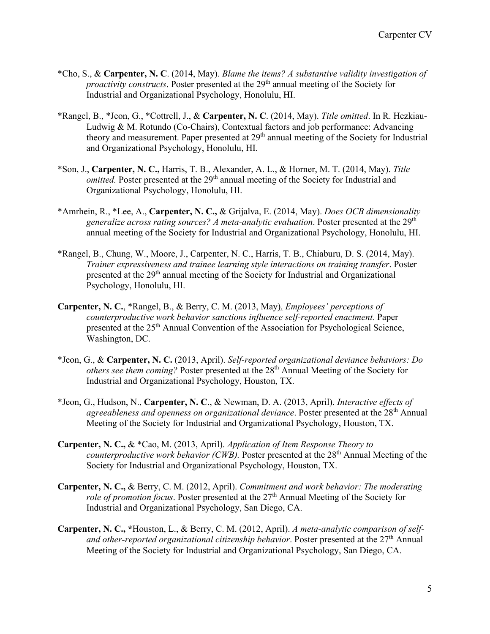- \*Cho, S., & **Carpenter, N. C**. (2014, May). *Blame the items? A substantive validity investigation of proactivity constructs*. Poster presented at the 29<sup>th</sup> annual meeting of the Society for Industrial and Organizational Psychology, Honolulu, HI.
- \*Rangel, B., \*Jeon, G., \*Cottrell, J., & **Carpenter, N. C**. (2014, May). *Title omitted*. In R. Hezkiau-Ludwig & M. Rotundo (Co-Chairs), Contextual factors and job performance: Advancing theory and measurement. Paper presented at  $29<sup>th</sup>$  annual meeting of the Society for Industrial and Organizational Psychology, Honolulu, HI.
- \*Son, J., **Carpenter, N. C.,** Harris, T. B., Alexander, A. L., & Horner, M. T. (2014, May). *Title omitted.* Poster presented at the 29<sup>th</sup> annual meeting of the Society for Industrial and Organizational Psychology, Honolulu, HI.
- \*Amrhein, R., \*Lee, A., **Carpenter, N. C.,** & Grijalva, E. (2014, May). *Does OCB dimensionality generalize across rating sources? A meta-analytic evaluation*. Poster presented at the 29<sup>th</sup> annual meeting of the Society for Industrial and Organizational Psychology, Honolulu, HI.
- \*Rangel, B., Chung, W., Moore, J., Carpenter, N. C., Harris, T. B., Chiaburu, D. S. (2014, May). *Trainer expressiveness and trainee learning style interactions on training transfer*. Poster presented at the 29<sup>th</sup> annual meeting of the Society for Industrial and Organizational Psychology, Honolulu, HI.
- **Carpenter, N. C.**, \*Rangel, B., & Berry, C. M. (2013, May). *Employees' perceptions of counterproductive work behavior sanctions influence self-reported enactment.* Paper presented at the 25<sup>th</sup> Annual Convention of the Association for Psychological Science, Washington, DC.
- \*Jeon, G., & **Carpenter, N. C.** (2013, April). *Self-reported organizational deviance behaviors: Do others see them coming?* Poster presented at the 28<sup>th</sup> Annual Meeting of the Society for Industrial and Organizational Psychology, Houston, TX.
- \*Jeon, G., Hudson, N., **Carpenter, N. C**., & Newman, D. A. (2013, April). *Interactive effects of agreeableness and openness on organizational deviance*. Poster presented at the 28th Annual Meeting of the Society for Industrial and Organizational Psychology, Houston, TX.
- **Carpenter, N. C.,** & \*Cao, M. (2013, April). *Application of Item Response Theory to counterproductive work behavior (CWB).* Poster presented at the 28th Annual Meeting of the Society for Industrial and Organizational Psychology, Houston, TX.
- **Carpenter, N. C.,** & Berry, C. M. (2012, April). *Commitment and work behavior: The moderating role of promotion focus.* Poster presented at the 27<sup>th</sup> Annual Meeting of the Society for Industrial and Organizational Psychology, San Diego, CA.
- **Carpenter, N. C., \***Houston, L., & Berry, C. M. (2012, April). *A meta-analytic comparison of self*and other-reported organizational citizenship behavior. Poster presented at the 27<sup>th</sup> Annual Meeting of the Society for Industrial and Organizational Psychology, San Diego, CA.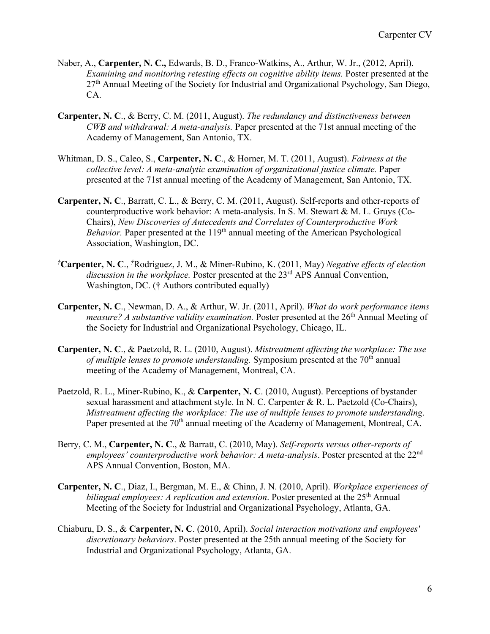- Naber, A., **Carpenter, N. C.,** Edwards, B. D., Franco-Watkins, A., Arthur, W. Jr., (2012, April). *Examining and monitoring retesting effects on cognitive ability items.* Poster presented at the  $27<sup>th</sup>$  Annual Meeting of the Society for Industrial and Organizational Psychology, San Diego, CA.
- **Carpenter, N. C**., & Berry, C. M. (2011, August). *The redundancy and distinctiveness between CWB and withdrawal: A meta-analysis.* Paper presented at the 71st annual meeting of the Academy of Management, San Antonio, TX.
- Whitman, D. S., Caleo, S., **Carpenter, N. C**., & Horner, M. T. (2011, August). *Fairness at the collective level: A meta-analytic examination of organizational justice climate.* Paper presented at the 71st annual meeting of the Academy of Management, San Antonio, TX.
- **Carpenter, N. C**., Barratt, C. L., & Berry, C. M. (2011, August). Self-reports and other-reports of counterproductive work behavior: A meta-analysis. In S. M. Stewart & M. L. Gruys (Co-Chairs), *New Discoveries of Antecedents and Correlates of Counterproductive Work Behavior*. Paper presented at the 119<sup>th</sup> annual meeting of the American Psychological Association, Washington, DC.
- *†* **Carpenter, N. C**., *†* Rodriguez, J. M., & Miner-Rubino, K. (2011, May) *Negative effects of election*  discussion in the workplace. Poster presented at the 23<sup>rd</sup> APS Annual Convention, Washington, DC. († Authors contributed equally)
- **Carpenter, N. C**., Newman, D. A., & Arthur, W. Jr. (2011, April). *What do work performance items measure? A substantive validity examination.* Poster presented at the 26<sup>th</sup> Annual Meeting of the Society for Industrial and Organizational Psychology, Chicago, IL.
- **Carpenter, N. C**., & Paetzold, R. L. (2010, August). *Mistreatment affecting the workplace: The use of multiple lenses to promote understanding.* Symposium presented at the 70<sup>th</sup> annual meeting of the Academy of Management, Montreal, CA.
- Paetzold, R. L., Miner-Rubino, K., & **Carpenter, N. C**. (2010, August). Perceptions of bystander sexual harassment and attachment style. In N. C. Carpenter & R. L. Paetzold (Co-Chairs), *Mistreatment affecting the workplace: The use of multiple lenses to promote understanding*. Paper presented at the 70<sup>th</sup> annual meeting of the Academy of Management, Montreal, CA.
- Berry, C. M., **Carpenter, N. C**., & Barratt, C. (2010, May). *Self-reports versus other-reports of*  employees' counterproductive work behavior: A meta-analysis. Poster presented at the 22<sup>nd</sup> APS Annual Convention, Boston, MA.
- **Carpenter, N. C**., Diaz, I., Bergman, M. E., & Chinn, J. N. (2010, April). *Workplace experiences of bilingual employees: A replication and extension.* Poster presented at the 25<sup>th</sup> Annual Meeting of the Society for Industrial and Organizational Psychology, Atlanta, GA.
- Chiaburu, D. S., & **Carpenter, N. C**. (2010, April). *Social interaction motivations and employees' discretionary behaviors*. Poster presented at the 25th annual meeting of the Society for Industrial and Organizational Psychology, Atlanta, GA.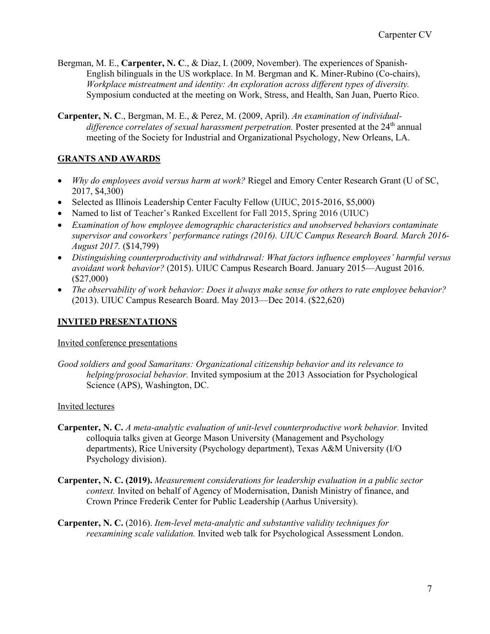Bergman, M. E., **Carpenter, N. C**., & Diaz, I. (2009, November). The experiences of Spanish-English bilinguals in the US workplace. In M. Bergman and K. Miner-Rubino (Co-chairs), *Workplace mistreatment and identity: An exploration across different types of diversity.*  Symposium conducted at the meeting on Work, Stress, and Health, San Juan, Puerto Rico.

**Carpenter, N. C**., Bergman, M. E., & Perez, M. (2009, April). *An examination of individualdifference correlates of sexual harassment perpetration.* Poster presented at the 24<sup>th</sup> annual meeting of the Society for Industrial and Organizational Psychology, New Orleans, LA.

# **GRANTS AND AWARDS**

- *Why do employees avoid versus harm at work?* Riegel and Emory Center Research Grant (U of SC, 2017, \$4,300)
- Selected as Illinois Leadership Center Faculty Fellow (UIUC, 2015-2016, \$5,000)
- Named to list of Teacher's Ranked Excellent for Fall 2015, Spring 2016 (UIUC)
- *Examination of how employee demographic characteristics and unobserved behaviors contaminate supervisor and coworkers' performance ratings (2016). UIUC Campus Research Board. March 2016- August 2017.* (\$14,799)
- *Distinguishing counterproductivity and withdrawal: What factors influence employees' harmful versus avoidant work behavior?* (2015). UIUC Campus Research Board. January 2015—August 2016. (\$27,000)
- *The observability of work behavior: Does it always make sense for others to rate employee behavior?*  (2013). UIUC Campus Research Board. May 2013—Dec 2014. (\$22,620)

## **INVITED PRESENTATIONS**

## Invited conference presentations

*Good soldiers and good Samaritans: Organizational citizenship behavior and its relevance to helping/prosocial behavior.* Invited symposium at the 2013 Association for Psychological Science (APS), Washington, DC.

## Invited lectures

- **Carpenter, N. C.** *A meta-analytic evaluation of unit-level counterproductive work behavior.* Invited colloquia talks given at George Mason University (Management and Psychology departments), Rice University (Psychology department), Texas A&M University (I/O Psychology division).
- **Carpenter, N. C. (2019).** *Measurement considerations for leadership evaluation in a public sector context.* Invited on behalf of Agency of Modernisation, Danish Ministry of finance, and Crown Prince Frederik Center for Public Leadership (Aarhus University).
- **Carpenter, N. C.** (2016). *Item-level meta-analytic and substantive validity techniques for reexamining scale validation.* Invited web talk for Psychological Assessment London.